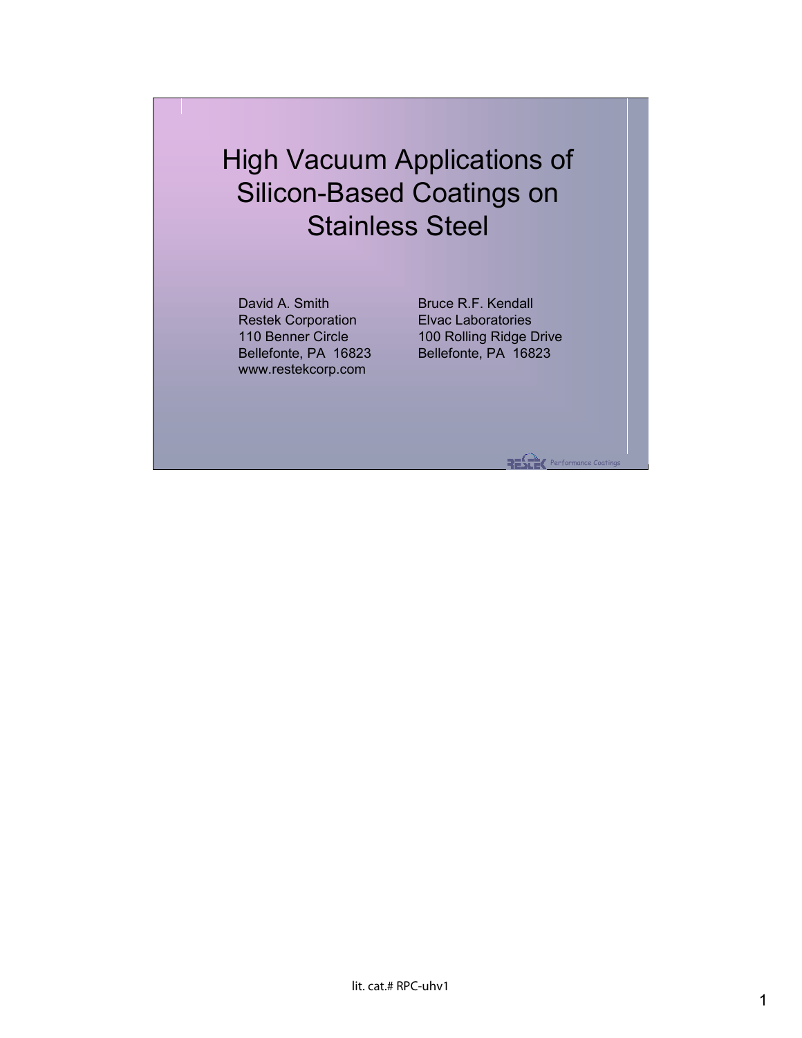## High Vacuum Applications of Silicon-Based Coatings on Stainless Steel

David A. Smith Restek Corporation 110 Benner Circle Bellefonte, PA 16823 www.restekcorp.com

Bruce R.F. Kendall Elvac Laboratories 100 Rolling Ridge Drive Bellefonte, PA 16823

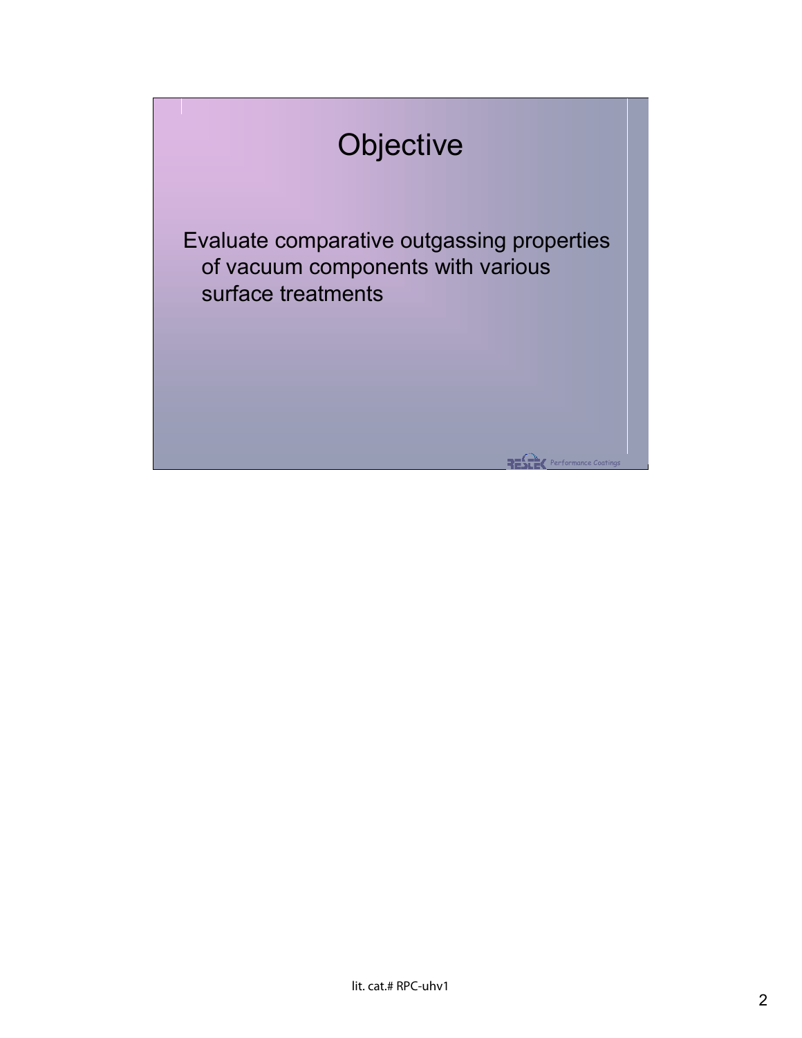## **Objective**

Evaluate comparative outgassing properties of vacuum components with various surface treatments

**RESER** Performance Coatings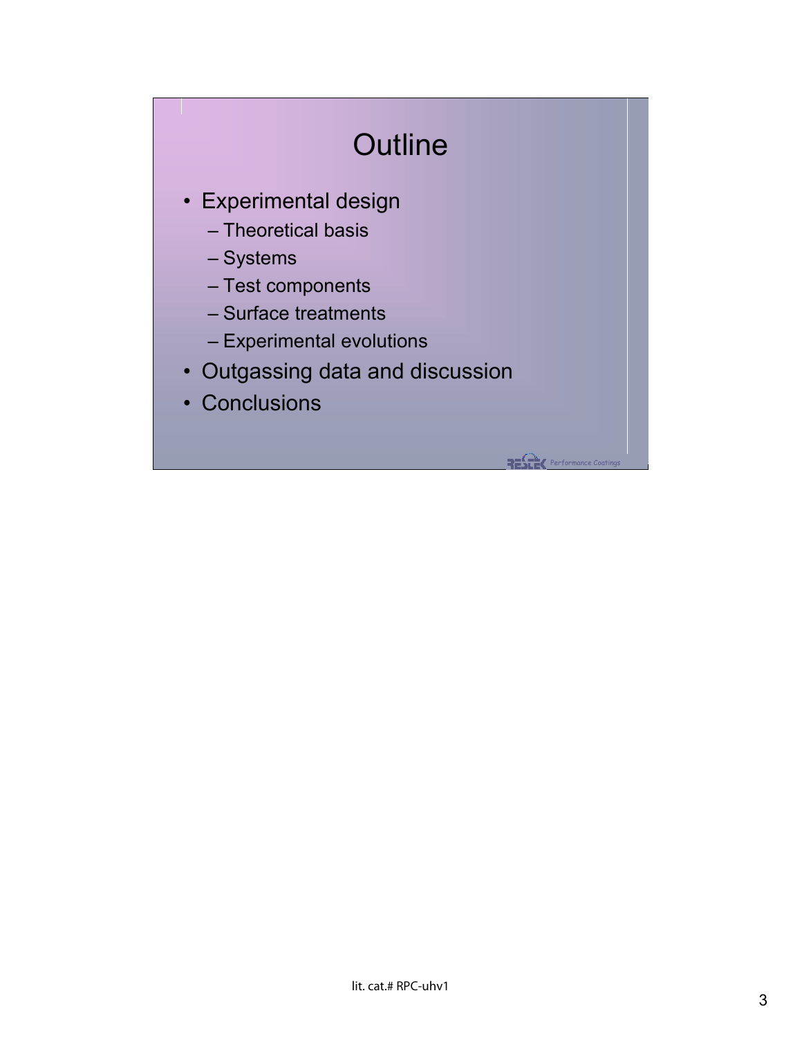## **Outline**

**RESER** Performance Coatings

- Experimental design
	- Theoretical basis
	- Systems
	- Test components
	- Surface treatments
	- Experimental evolutions
- Outgassing data and discussion
- Conclusions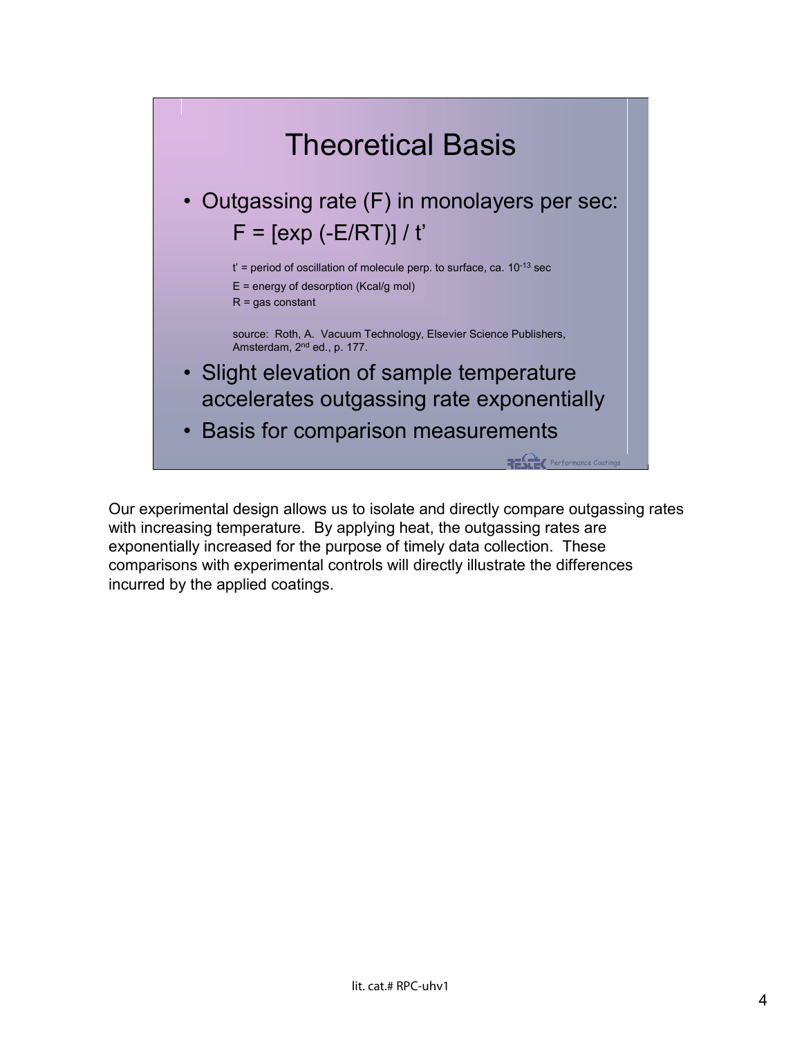

Our experimental design allows us to isolate and directly compare outgassing rates with increasing temperature. By applying heat, the outgassing rates are exponentially increased for the purpose of timely data collection. These comparisons with experimental controls will directly illustrate the differences incurred by the applied coatings.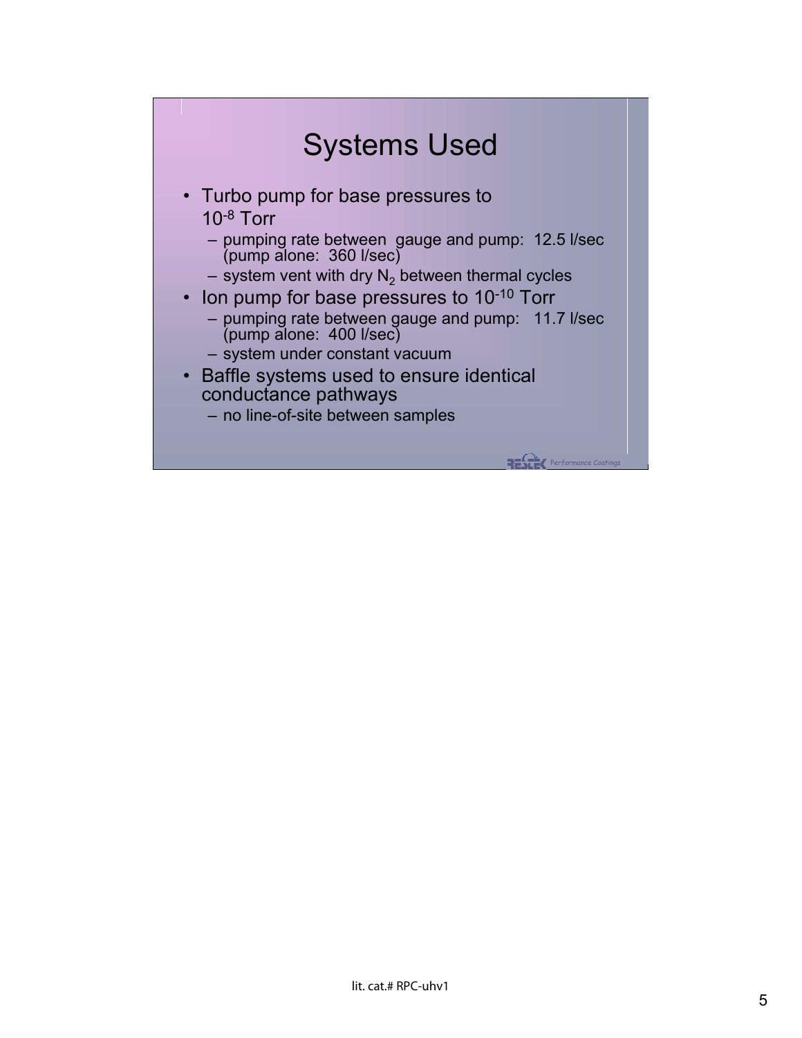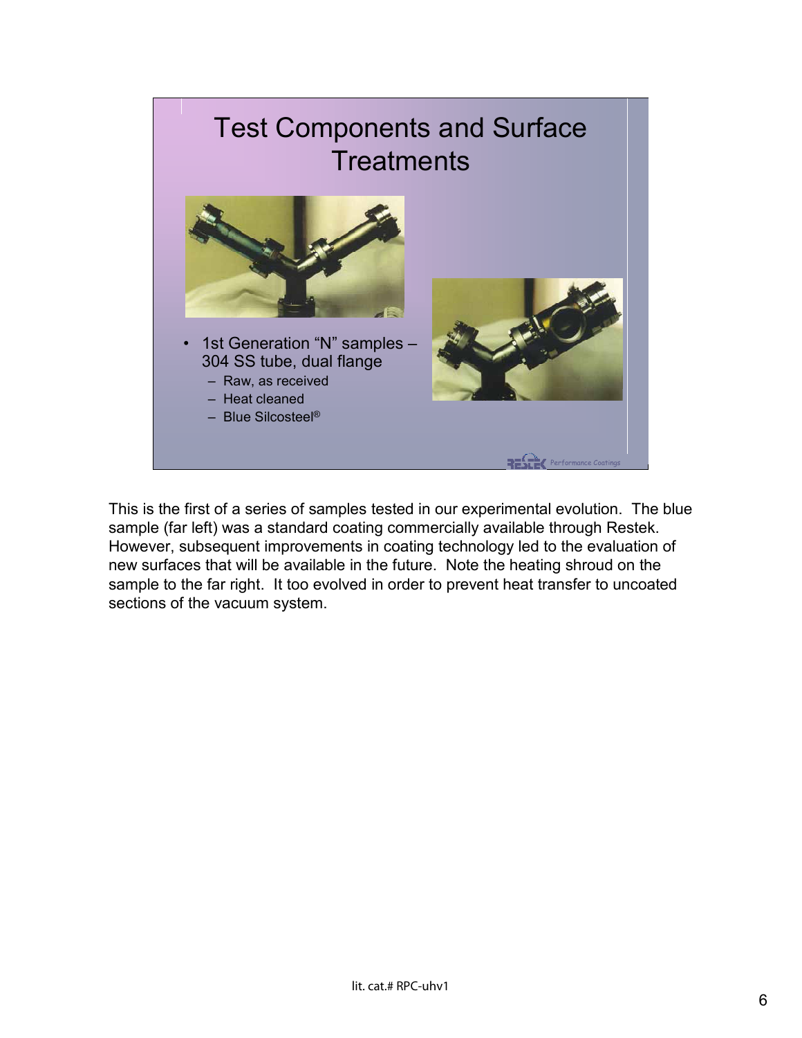## Performance Coatings Test Components and Surface **Treatments** • 1st Generation "N" samples – 304 SS tube, dual flange – Raw, as received – Heat cleaned – Blue Silcosteel®

This is the first of a series of samples tested in our experimental evolution. The blue sample (far left) was a standard coating commercially available through Restek. However, subsequent improvements in coating technology led to the evaluation of new surfaces that will be available in the future. Note the heating shroud on the sample to the far right. It too evolved in order to prevent heat transfer to uncoated sections of the vacuum system.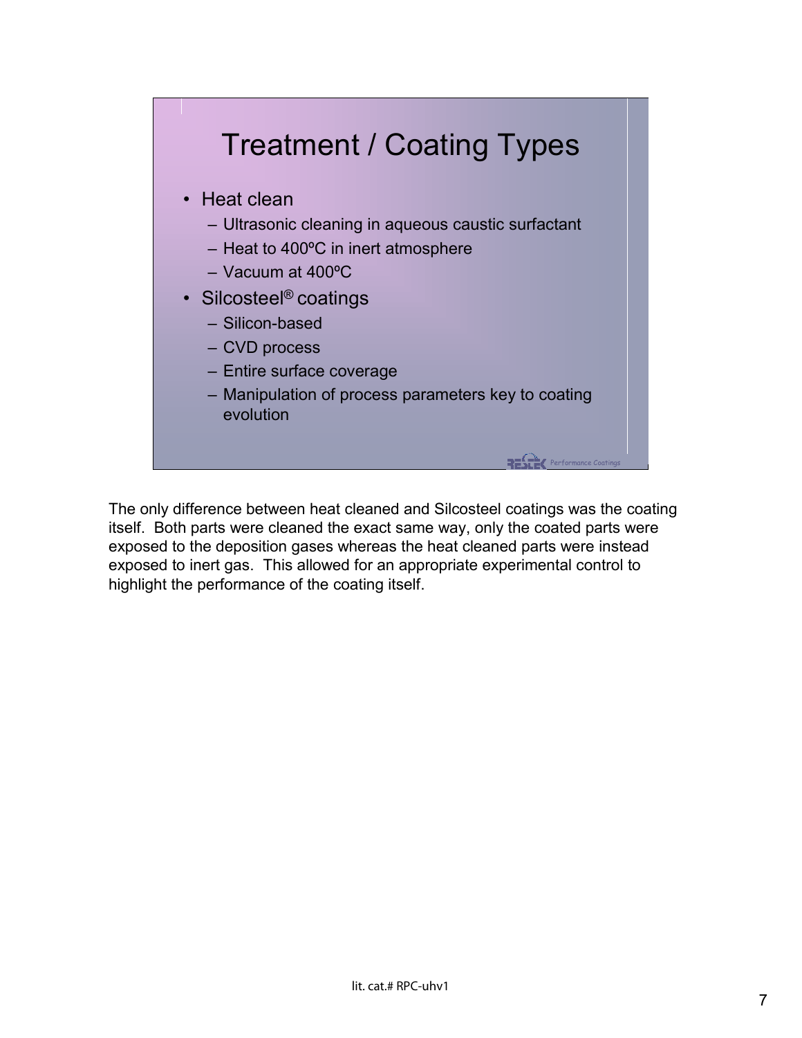

The only difference between heat cleaned and Silcosteel coatings was the coating itself. Both parts were cleaned the exact same way, only the coated parts were exposed to the deposition gases whereas the heat cleaned parts were instead exposed to inert gas. This allowed for an appropriate experimental control to highlight the performance of the coating itself.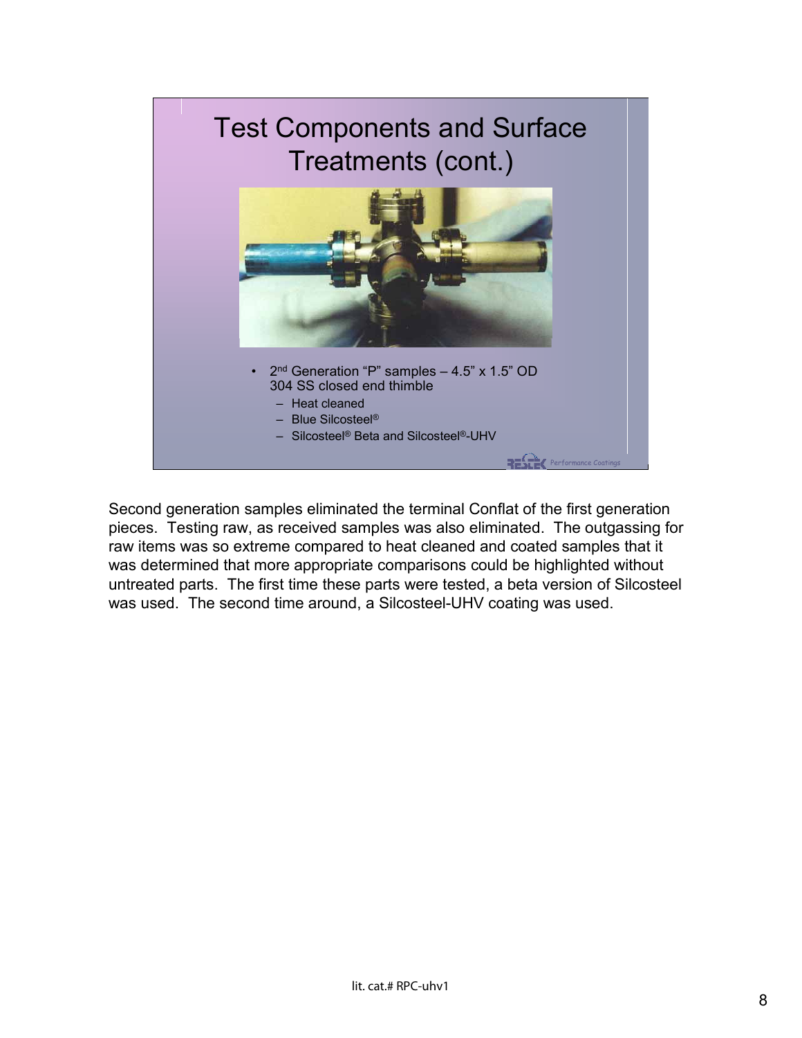

Second generation samples eliminated the terminal Conflat of the first generation pieces. Testing raw, as received samples was also eliminated. The outgassing for raw items was so extreme compared to heat cleaned and coated samples that it was determined that more appropriate comparisons could be highlighted without untreated parts. The first time these parts were tested, a beta version of Silcosteel was used. The second time around, a Silcosteel-UHV coating was used.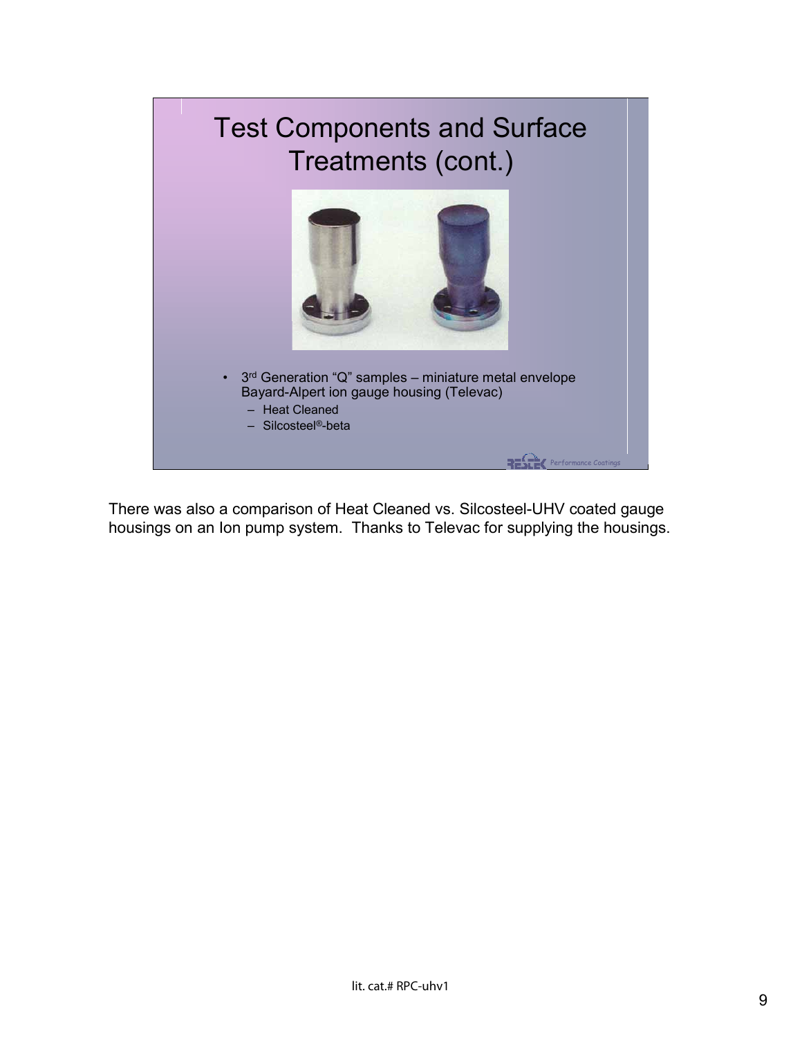

There was also a comparison of Heat Cleaned vs. Silcosteel-UHV coated gauge housings on an Ion pump system. Thanks to Televac for supplying the housings.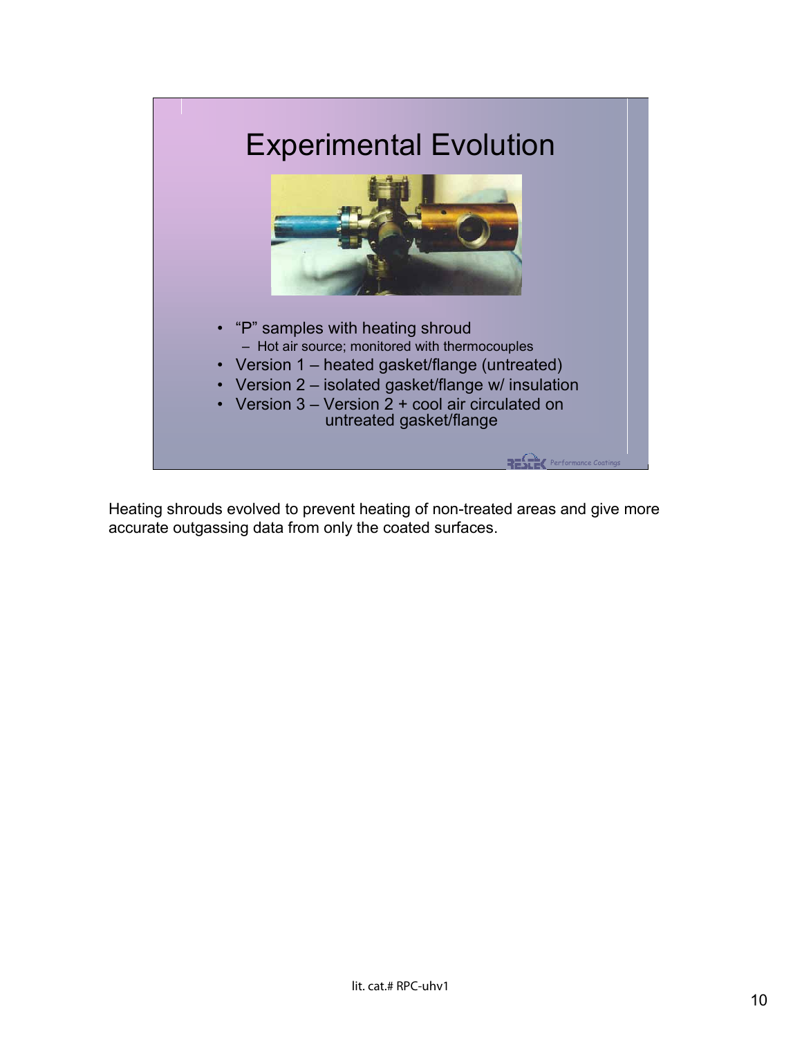

Heating shrouds evolved to prevent heating of non-treated areas and give more accurate outgassing data from only the coated surfaces.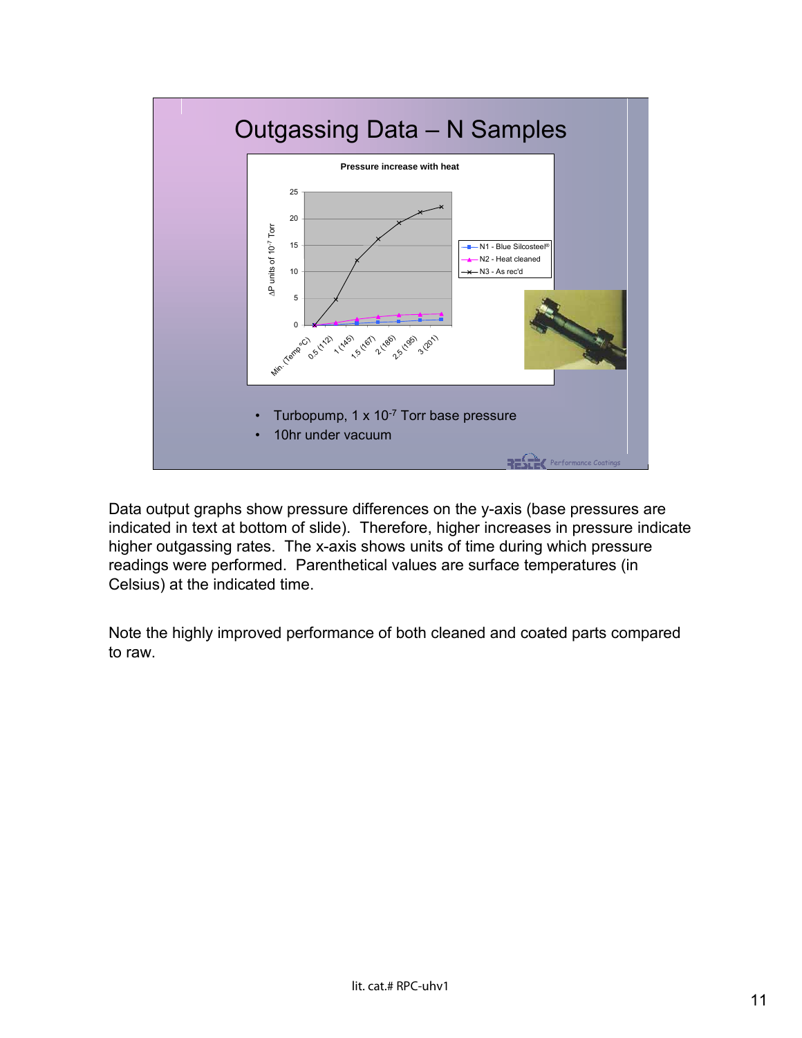

Data output graphs show pressure differences on the y-axis (base pressures are indicated in text at bottom of slide). Therefore, higher increases in pressure indicate higher outgassing rates. The x-axis shows units of time during which pressure readings were performed. Parenthetical values are surface temperatures (in Celsius) at the indicated time.

Note the highly improved performance of both cleaned and coated parts compared to raw.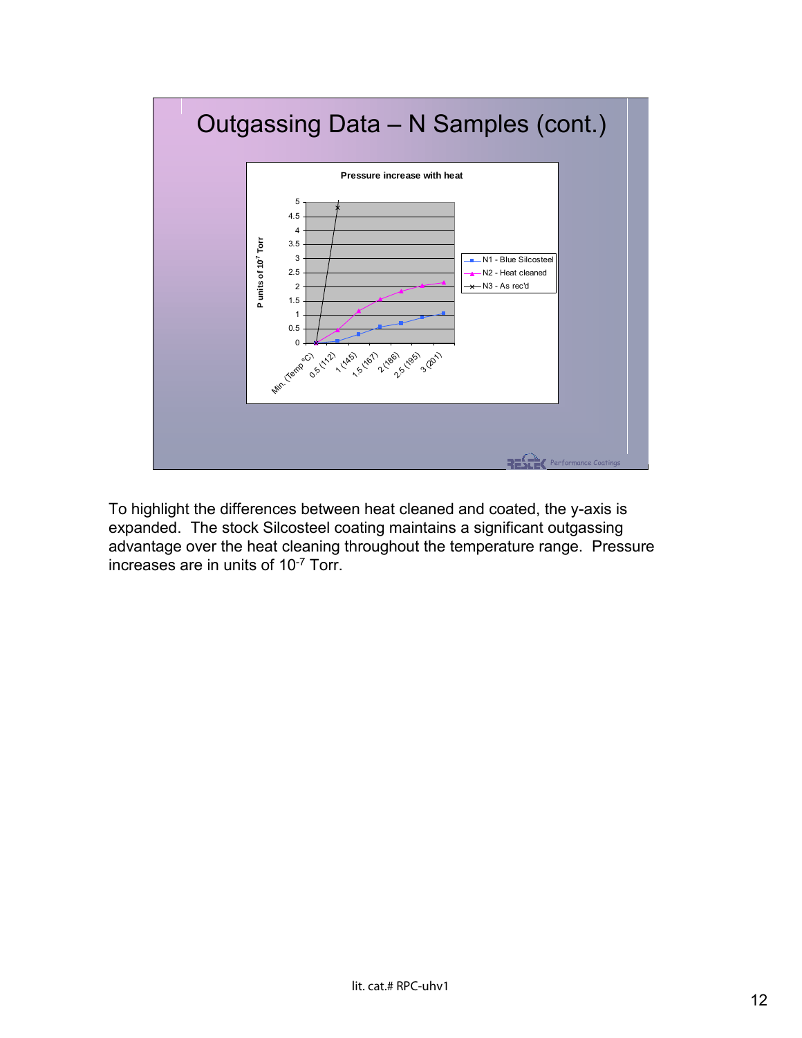

To highlight the differences between heat cleaned and coated, the y-axis is expanded. The stock Silcosteel coating maintains a significant outgassing advantage over the heat cleaning throughout the temperature range. Pressure increases are in units of 10-7 Torr.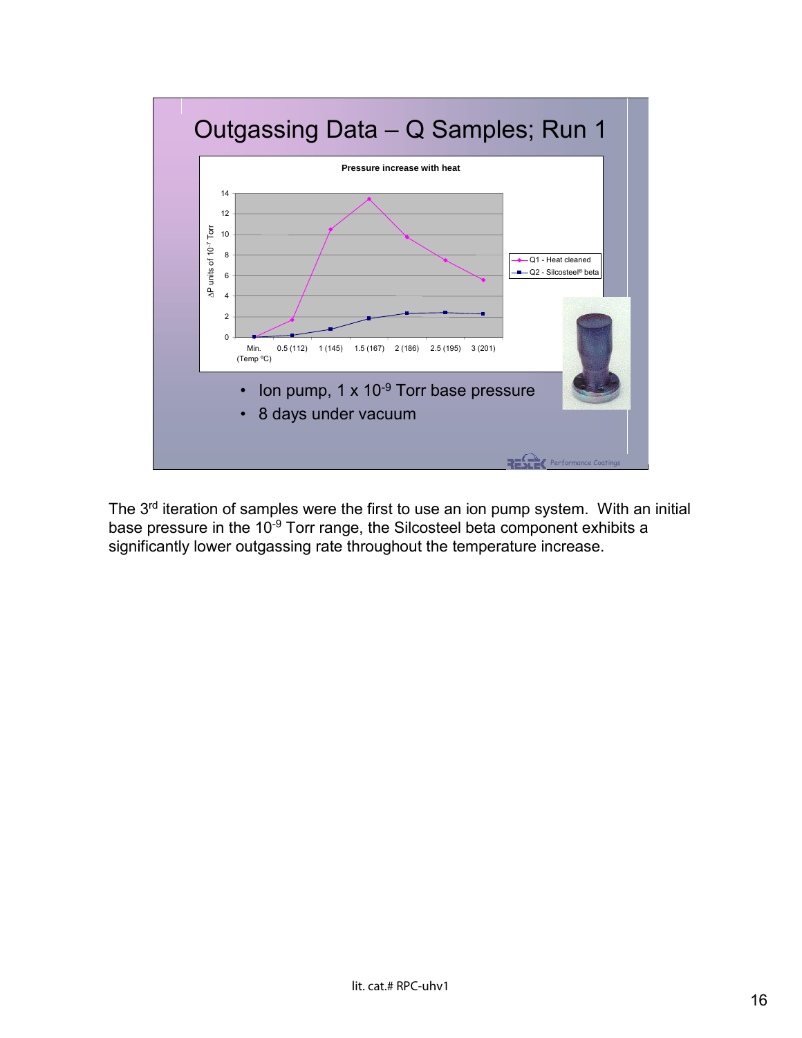

The 3<sup>rd</sup> iteration of samples were the first to use an ion pump system. With an initial base pressure in the 10<sup>-9</sup> Torr range, the Silcosteel beta component exhibits a significantly lower outgassing rate throughout the temperature increase.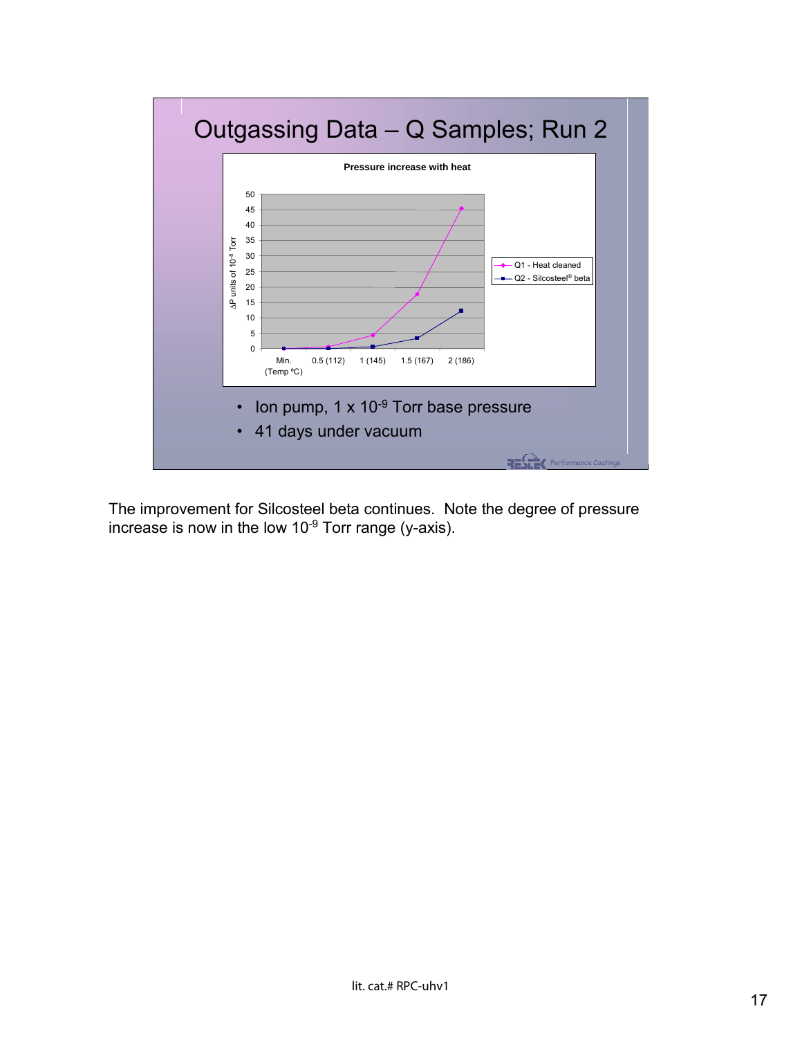

The improvement for Silcosteel beta continues. Note the degree of pressure increase is now in the low 10-9 Torr range (y-axis).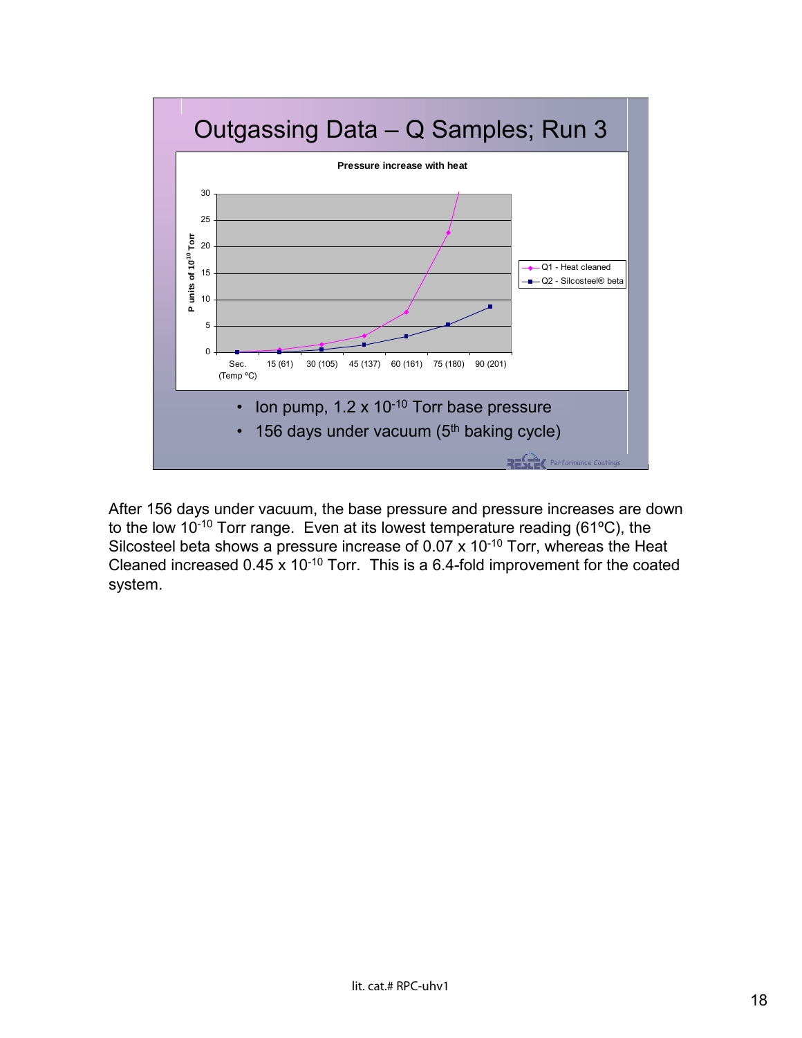

After 156 days under vacuum, the base pressure and pressure increases are down to the low 10-10 Torr range. Even at its lowest temperature reading (61ºC), the Silcosteel beta shows a pressure increase of 0.07  $\times$  10<sup>-10</sup> Torr, whereas the Heat Cleaned increased 0.45 x 10-10 Torr. This is a 6.4-fold improvement for the coated system.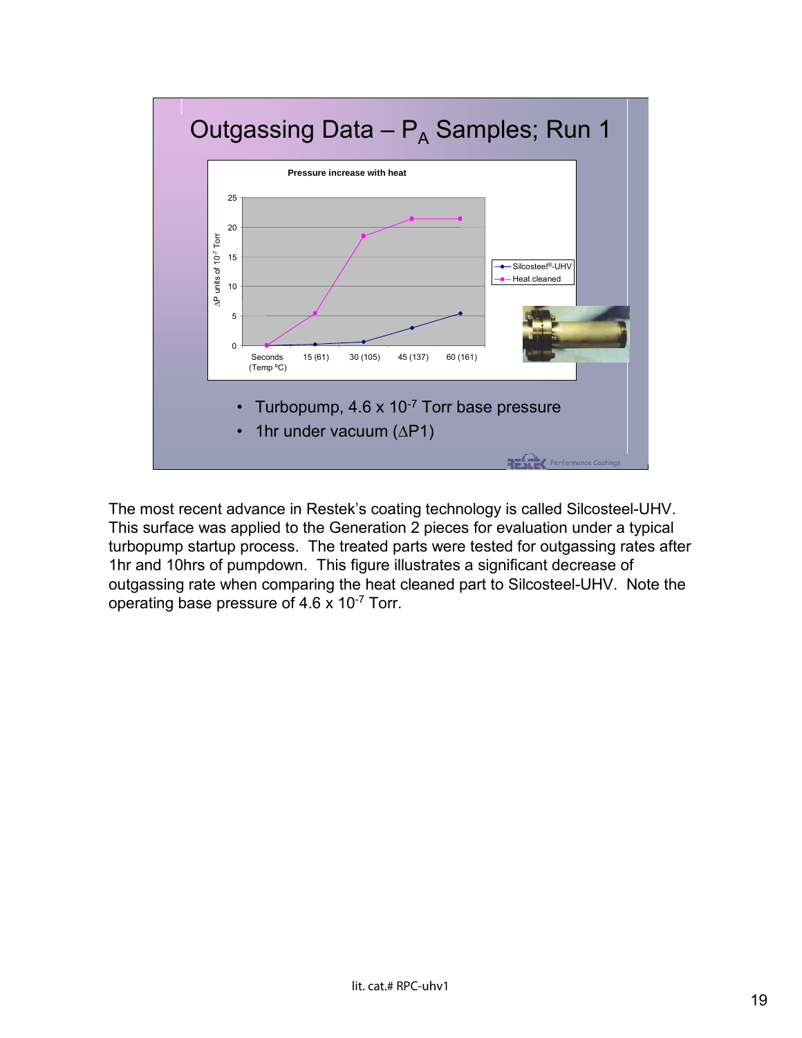

The most recent advance in Restek's coating technology is called Silcosteel-UHV. This surface was applied to the Generation 2 pieces for evaluation under a typical turbopump startup process. The treated parts were tested for outgassing rates after 1hr and 10hrs of pumpdown. This figure illustrates a significant decrease of outgassing rate when comparing the heat cleaned part to Silcosteel-UHV. Note the operating base pressure of 4.6 x 10-7 Torr.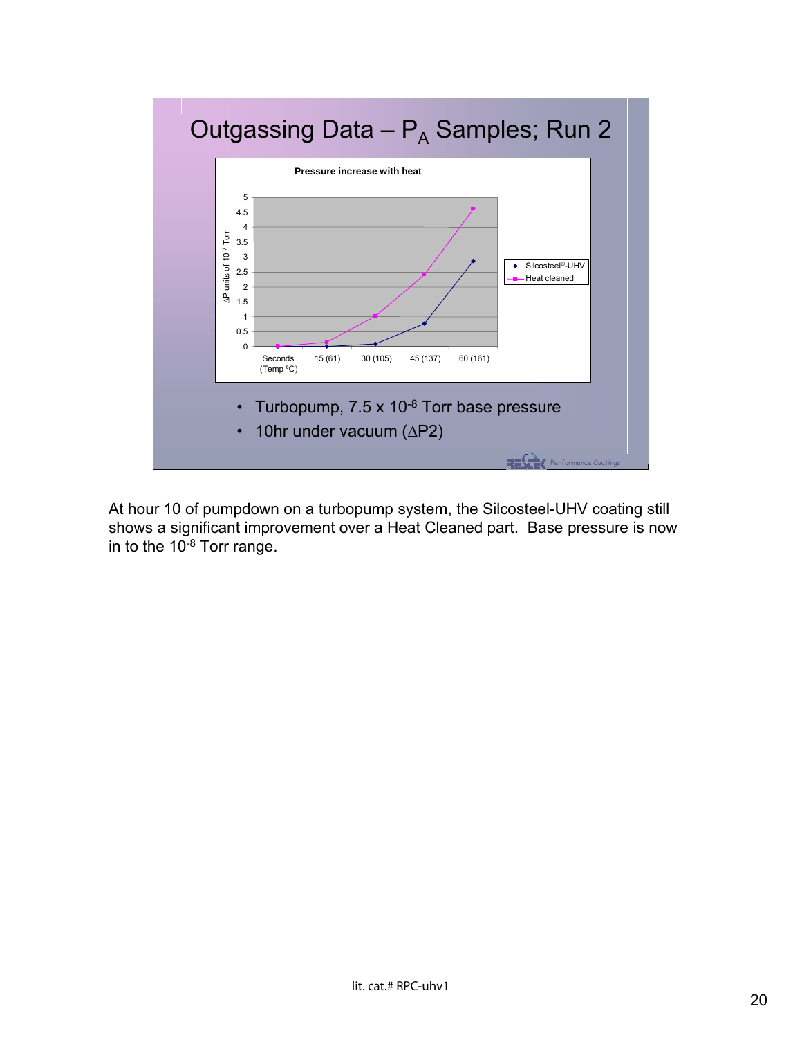

At hour 10 of pumpdown on a turbopump system, the Silcosteel-UHV coating still shows a significant improvement over a Heat Cleaned part. Base pressure is now in to the 10-8 Torr range.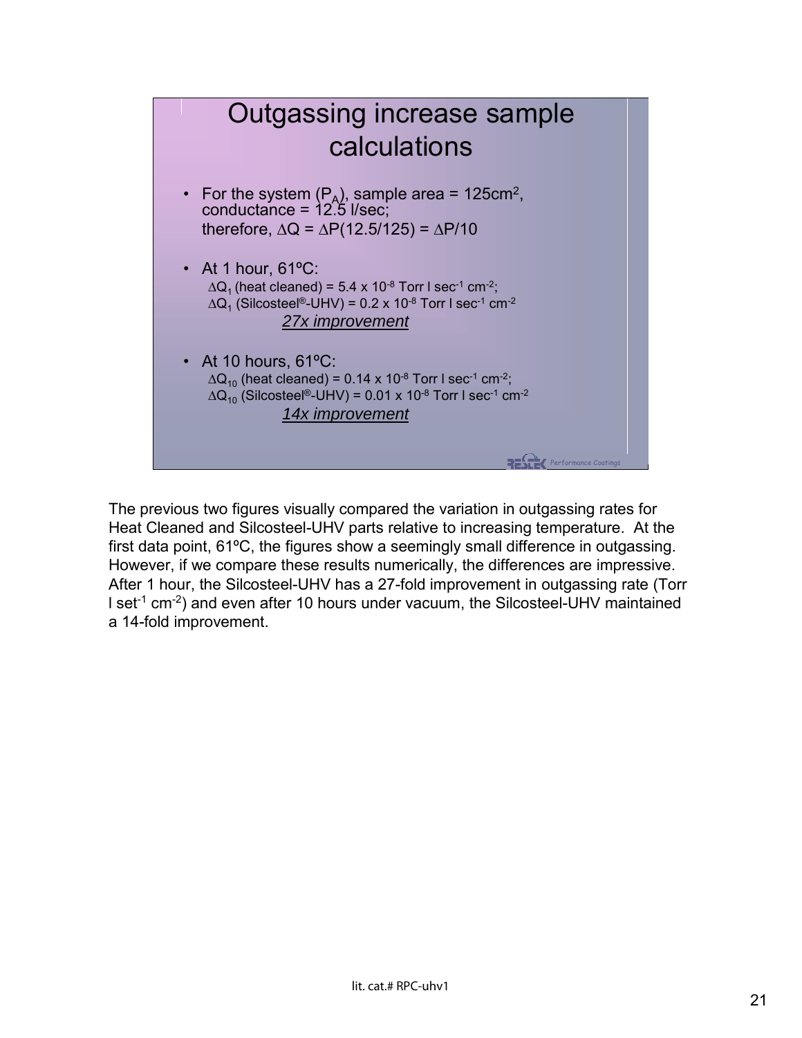

The previous two figures visually compared the variation in outgassing rates for Heat Cleaned and Silcosteel-UHV parts relative to increasing temperature. At the first data point, 61ºC, the figures show a seemingly small difference in outgassing. However, if we compare these results numerically, the differences are impressive. After 1 hour, the Silcosteel-UHV has a 27-fold improvement in outgassing rate (Torr I set<sup>-1</sup> cm<sup>-2</sup>) and even after 10 hours under vacuum, the Silcosteel-UHV maintained a 14-fold improvement.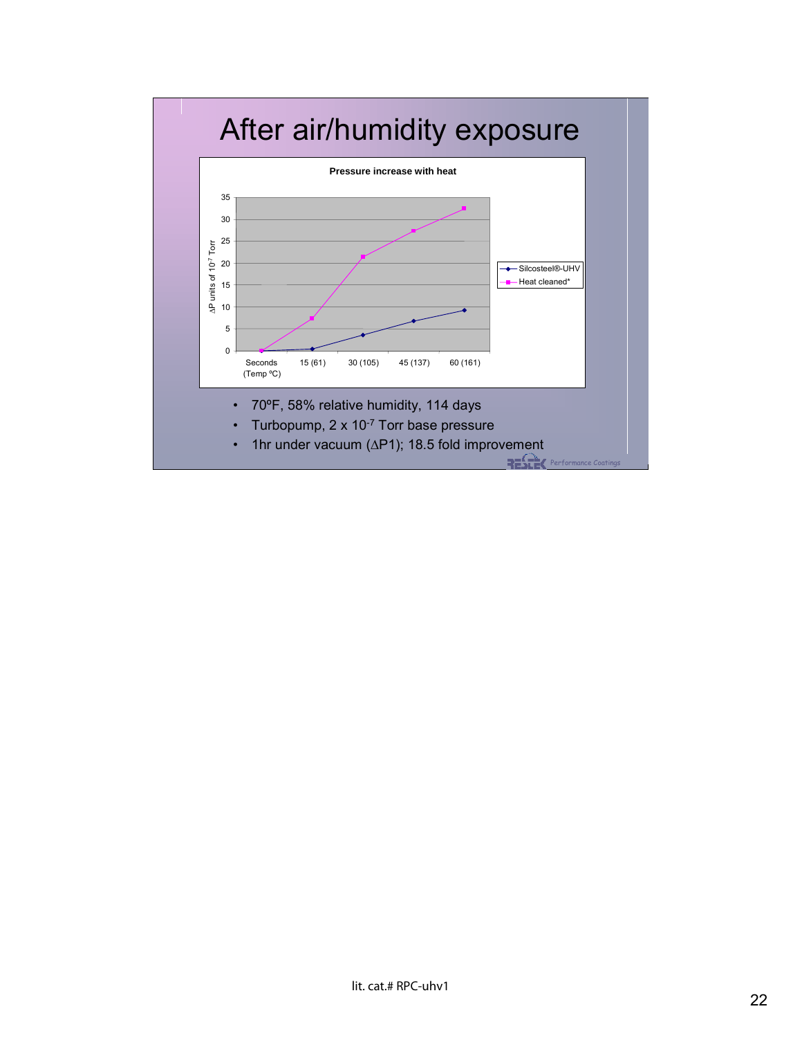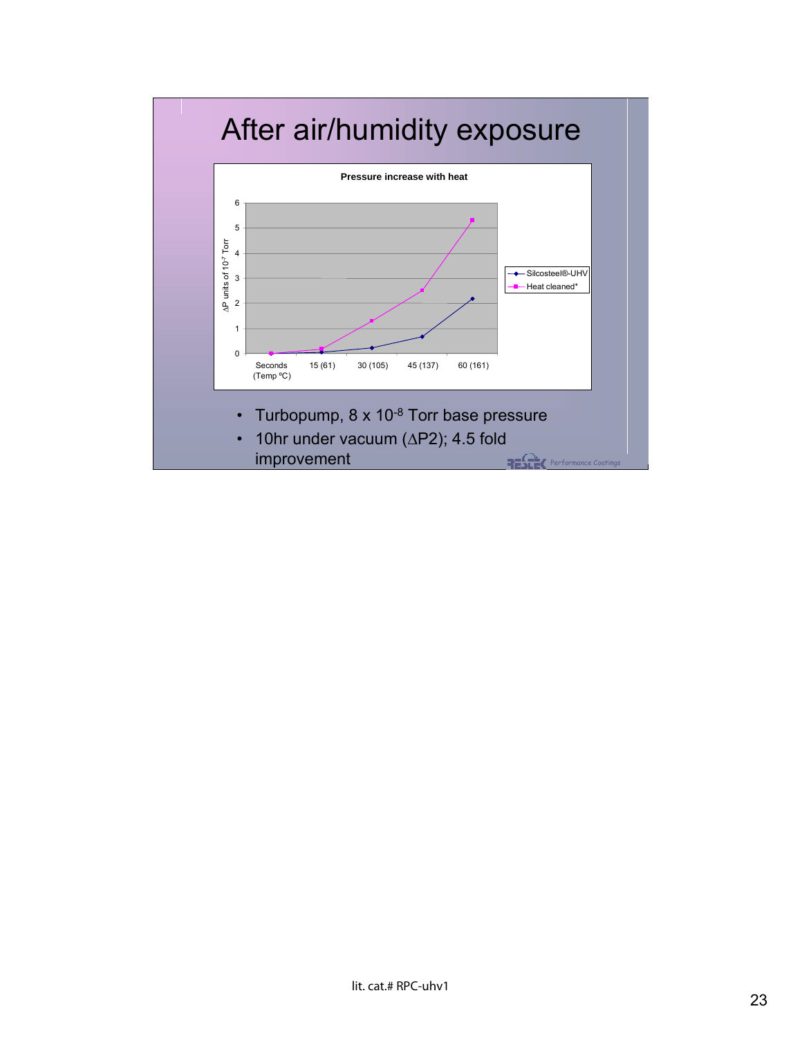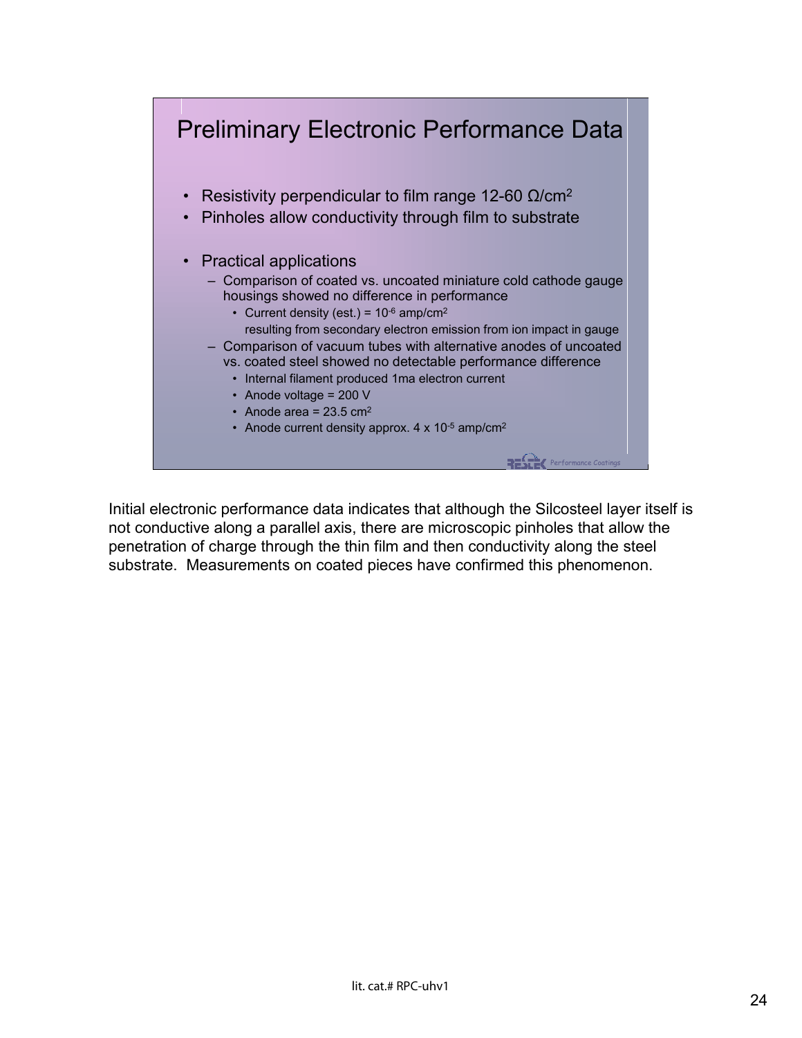

Initial electronic performance data indicates that although the Silcosteel layer itself is not conductive along a parallel axis, there are microscopic pinholes that allow the penetration of charge through the thin film and then conductivity along the steel substrate. Measurements on coated pieces have confirmed this phenomenon.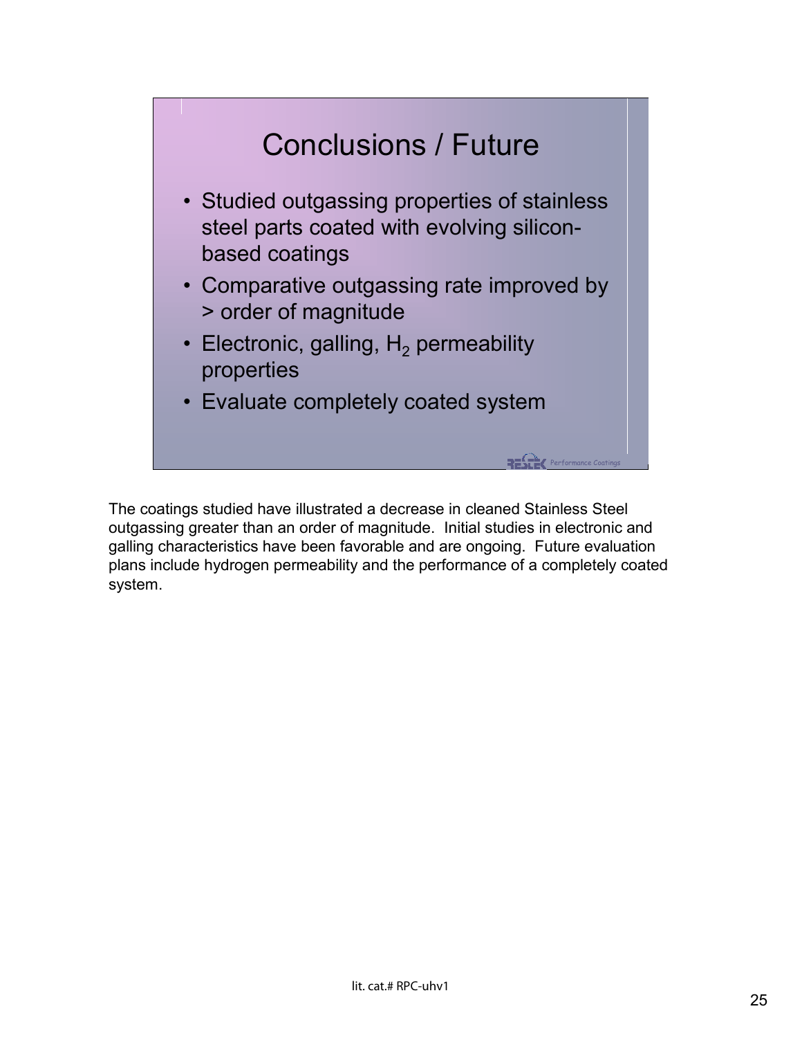

The coatings studied have illustrated a decrease in cleaned Stainless Steel outgassing greater than an order of magnitude. Initial studies in electronic and galling characteristics have been favorable and are ongoing. Future evaluation plans include hydrogen permeability and the performance of a completely coated system.